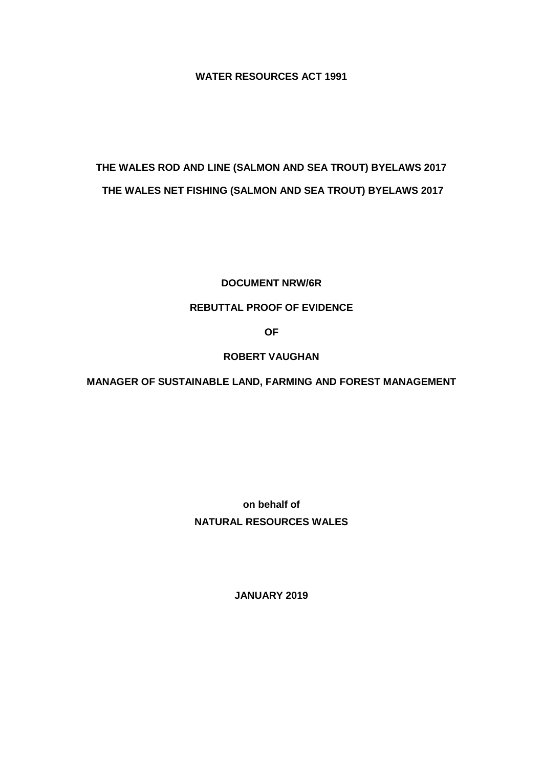**WATER RESOURCES ACT 1991**

# **THE WALES ROD AND LINE (SALMON AND SEA TROUT) BYELAWS 2017 THE WALES NET FISHING (SALMON AND SEA TROUT) BYELAWS 2017**

#### **DOCUMENT NRW/6R**

# **REBUTTAL PROOF OF EVIDENCE**

**OF**

# **ROBERT VAUGHAN**

**MANAGER OF SUSTAINABLE LAND, FARMING AND FOREST MANAGEMENT**

**on behalf of NATURAL RESOURCES WALES**

**JANUARY 2019**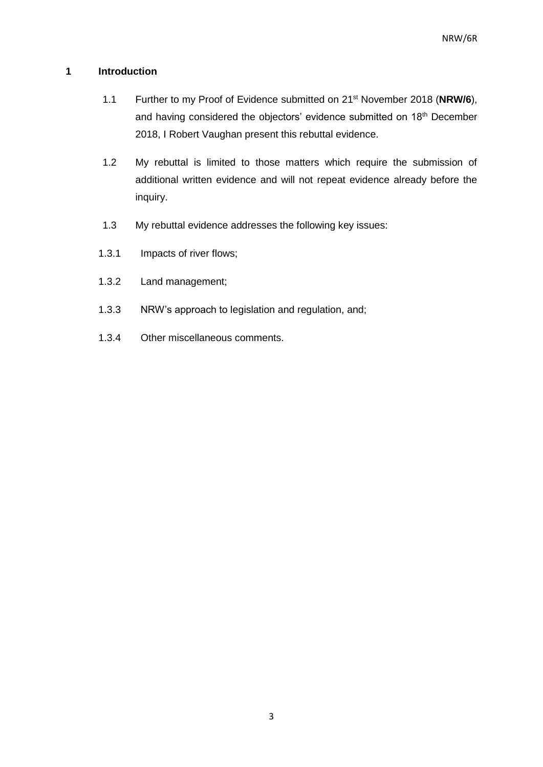# **1 Introduction**

- 1.1 Further to my Proof of Evidence submitted on 21st November 2018 (**NRW/6**), and having considered the objectors' evidence submitted on 18<sup>th</sup> December 2018, I Robert Vaughan present this rebuttal evidence.
- 1.2 My rebuttal is limited to those matters which require the submission of additional written evidence and will not repeat evidence already before the inquiry.
- 1.3 My rebuttal evidence addresses the following key issues:
- 1.3.1 Impacts of river flows;
- 1.3.2 Land management;
- 1.3.3 NRW's approach to legislation and regulation, and;
- 1.3.4 Other miscellaneous comments.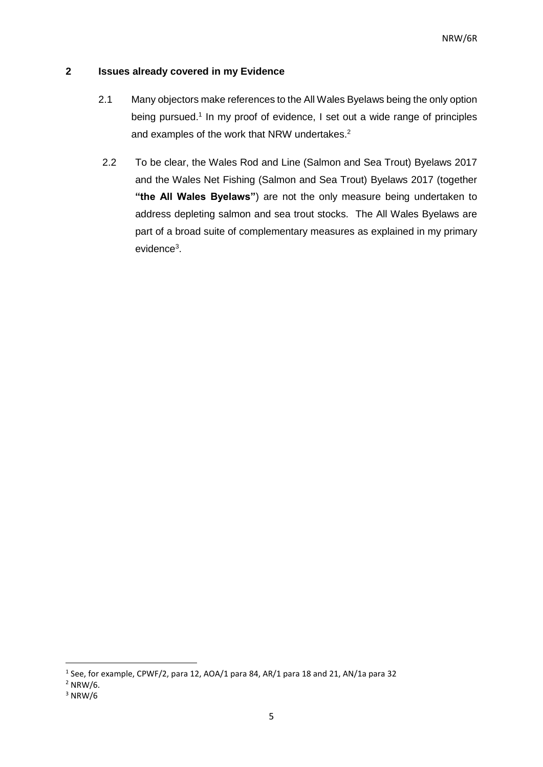# **2 Issues already covered in my Evidence**

- 2.1 Many objectors make references to the All Wales Byelaws being the only option being pursued.<sup>1</sup> In my proof of evidence, I set out a wide range of principles and examples of the work that NRW undertakes. 2
- 2.2 To be clear, the Wales Rod and Line (Salmon and Sea Trout) Byelaws 2017 and the Wales Net Fishing (Salmon and Sea Trout) Byelaws 2017 (together **"the All Wales Byelaws"**) are not the only measure being undertaken to address depleting salmon and sea trout stocks. The All Wales Byelaws are part of a broad suite of complementary measures as explained in my primary evidence<sup>3</sup>.

 $<sup>1</sup>$  See, for example, CPWF/2, para 12, AOA/1 para 84, AR/1 para 18 and 21, AN/1a para 32</sup>

 $2$  NRW/6.

 $3$  NRW/6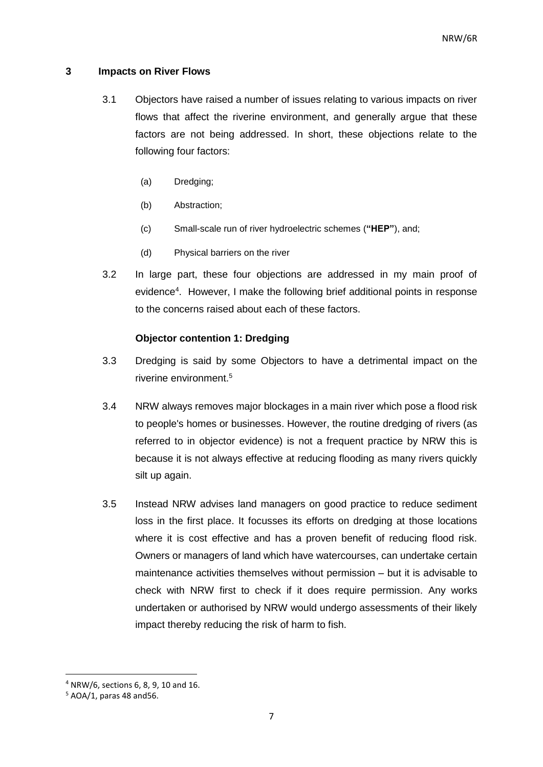#### **3 Impacts on River Flows**

- 3.1 Objectors have raised a number of issues relating to various impacts on river flows that affect the riverine environment, and generally argue that these factors are not being addressed. In short, these objections relate to the following four factors:
	- (a) Dredging;
	- (b) Abstraction;
	- (c) Small-scale run of river hydroelectric schemes (**"HEP"**), and;
	- (d) Physical barriers on the river
- 3.2 In large part, these four objections are addressed in my main proof of evidence<sup>4</sup>. However, I make the following brief additional points in response to the concerns raised about each of these factors.

#### **Objector contention 1: Dredging**

- 3.3 Dredging is said by some Objectors to have a detrimental impact on the riverine environment.<sup>5</sup>
- 3.4 NRW always removes major blockages in a main river which pose a flood risk to people's homes or businesses. However, the routine dredging of rivers (as referred to in objector evidence) is not a frequent practice by NRW this is because it is not always effective at reducing flooding as many rivers quickly silt up again.
- 3.5 Instead NRW advises land managers on good practice to reduce sediment loss in the first place. It focusses its efforts on dredging at those locations where it is cost effective and has a proven benefit of reducing flood risk. Owners or managers of land which have watercourses, can undertake certain maintenance activities themselves without permission – but it is advisable to check with NRW first to check if it does require permission. Any works undertaken or authorised by NRW would undergo assessments of their likely impact thereby reducing the risk of harm to fish.

<sup>4</sup> NRW/6, sections 6, 8, 9, 10 and 16.

 $5$  AOA/1, paras 48 and 56.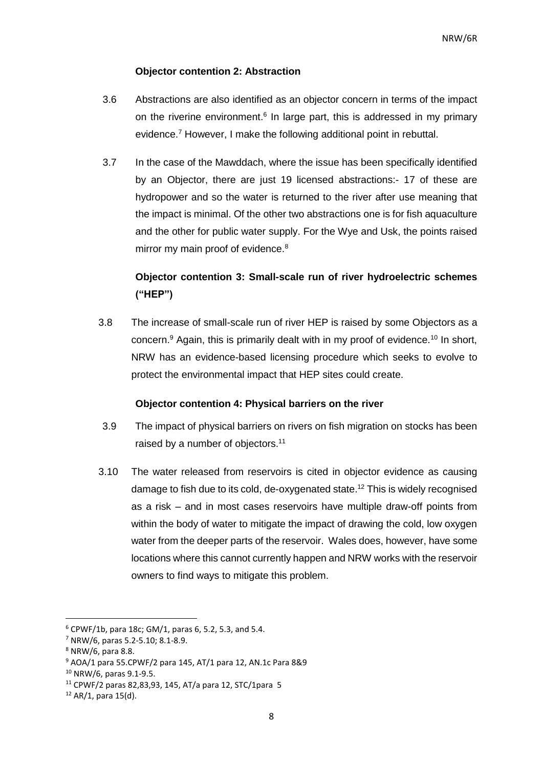#### **Objector contention 2: Abstraction**

- 3.6 Abstractions are also identified as an objector concern in terms of the impact on the riverine environment.<sup>6</sup> In large part, this is addressed in my primary evidence.<sup>7</sup> However, I make the following additional point in rebuttal.
- 3.7 In the case of the Mawddach, where the issue has been specifically identified by an Objector, there are just 19 licensed abstractions:- 17 of these are hydropower and so the water is returned to the river after use meaning that the impact is minimal. Of the other two abstractions one is for fish aquaculture and the other for public water supply. For the Wye and Usk, the points raised mirror my main proof of evidence.<sup>8</sup>

# **Objector contention 3: Small-scale run of river hydroelectric schemes ("HEP")**

3.8 The increase of small-scale run of river HEP is raised by some Objectors as a concern. <sup>9</sup> Again, this is primarily dealt with in my proof of evidence.<sup>10</sup> In short, NRW has an evidence-based licensing procedure which seeks to evolve to protect the environmental impact that HEP sites could create.

#### **Objector contention 4: Physical barriers on the river**

- 3.9 The impact of physical barriers on rivers on fish migration on stocks has been raised by a number of objectors.<sup>11</sup>
- 3.10 The water released from reservoirs is cited in objector evidence as causing damage to fish due to its cold, de-oxygenated state. <sup>12</sup> This is widely recognised as a risk – and in most cases reservoirs have multiple draw-off points from within the body of water to mitigate the impact of drawing the cold, low oxygen water from the deeper parts of the reservoir. Wales does, however, have some locations where this cannot currently happen and NRW works with the reservoir owners to find ways to mitigate this problem.

 $\overline{a}$ 

 $6$  CPWF/1b, para 18c; GM/1, paras 6, 5.2, 5.3, and 5.4.

<sup>7</sup> NRW/6, paras 5.2-5.10; 8.1-8.9.

<sup>8</sup> NRW/6, para 8.8.

<sup>9</sup> AOA/1 para 55.CPWF/2 para 145, AT/1 para 12, AN.1c Para 8&9

<sup>10</sup> NRW/6, paras 9.1-9.5.

<sup>11</sup> CPWF/2 paras 82,83,93, 145, AT/a para 12, STC/1para 5

 $12$  AR/1, para 15(d).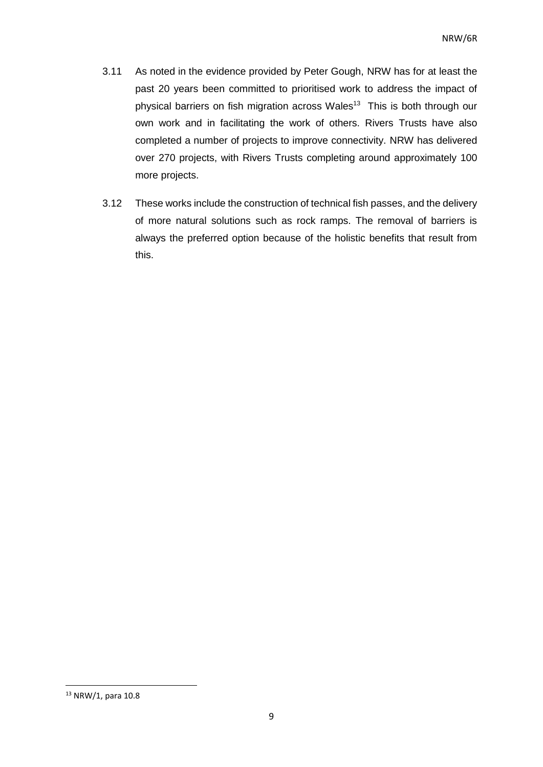- 3.11 As noted in the evidence provided by Peter Gough, NRW has for at least the past 20 years been committed to prioritised work to address the impact of physical barriers on fish migration across Wales<sup>13</sup> This is both through our own work and in facilitating the work of others. Rivers Trusts have also completed a number of projects to improve connectivity. NRW has delivered over 270 projects, with Rivers Trusts completing around approximately 100 more projects.
- 3.12 These works include the construction of technical fish passes, and the delivery of more natural solutions such as rock ramps. The removal of barriers is always the preferred option because of the holistic benefits that result from this.

<sup>&</sup>lt;sup>13</sup> NRW/1, para 10.8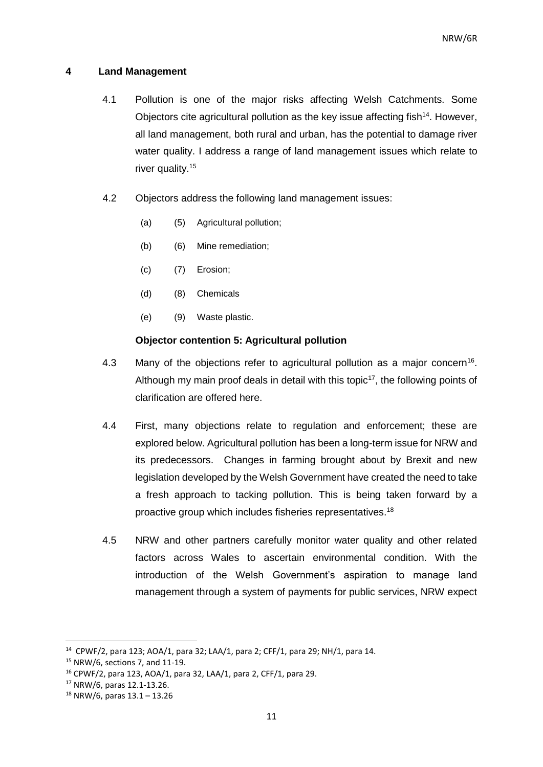#### **4 Land Management**

- 4.1 Pollution is one of the major risks affecting Welsh Catchments. Some Objectors cite agricultural pollution as the key issue affecting fish $14$ . However, all land management, both rural and urban, has the potential to damage river water quality. I address a range of land management issues which relate to river quality.<sup>15</sup>
- 4.2 Objectors address the following land management issues:
	- (a) (5) Agricultural pollution;
	- (b) (6) Mine remediation;
	- (c) (7) Erosion;
	- (d) (8) Chemicals
	- (e) (9) Waste plastic.

#### **Objector contention 5: Agricultural pollution**

- 4.3 Many of the objections refer to agricultural pollution as a major concern<sup>16</sup>. Although my main proof deals in detail with this topic<sup>17</sup>, the following points of clarification are offered here.
- 4.4 First, many objections relate to regulation and enforcement; these are explored below. Agricultural pollution has been a long-term issue for NRW and its predecessors. Changes in farming brought about by Brexit and new legislation developed by the Welsh Government have created the need to take a fresh approach to tacking pollution. This is being taken forward by a proactive group which includes fisheries representatives.<sup>18</sup>
- 4.5 NRW and other partners carefully monitor water quality and other related factors across Wales to ascertain environmental condition. With the introduction of the Welsh Government's aspiration to manage land management through a system of payments for public services, NRW expect

 $\overline{a}$ 

<sup>&</sup>lt;sup>14</sup> CPWF/2, para 123; AOA/1, para 32; LAA/1, para 2; CFF/1, para 29; NH/1, para 14.

<sup>15</sup> NRW/6, sections 7, and 11-19.

<sup>16</sup> CPWF/2, para 123, AOA/1, para 32, LAA/1, para 2, CFF/1, para 29.

<sup>17</sup> NRW/6, paras 12.1-13.26.

<sup>18</sup> NRW/6, paras 13.1 – 13.26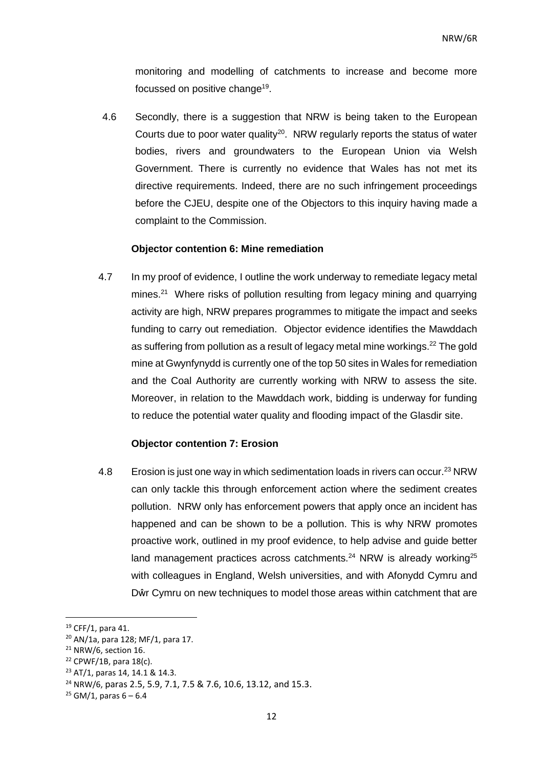monitoring and modelling of catchments to increase and become more focussed on positive change<sup>19</sup>.

4.6 Secondly, there is a suggestion that NRW is being taken to the European Courts due to poor water quality<sup>20</sup>. NRW regularly reports the status of water bodies, rivers and groundwaters to the European Union via Welsh Government. There is currently no evidence that Wales has not met its directive requirements. Indeed, there are no such infringement proceedings before the CJEU, despite one of the Objectors to this inquiry having made a complaint to the Commission.

#### **Objector contention 6: Mine remediation**

4.7 In my proof of evidence, I outline the work underway to remediate legacy metal mines.<sup>21</sup> Where risks of pollution resulting from legacy mining and quarrying activity are high, NRW prepares programmes to mitigate the impact and seeks funding to carry out remediation. Objector evidence identifies the Mawddach as suffering from pollution as a result of legacy metal mine workings. <sup>22</sup> The gold mine at Gwynfynydd is currently one of the top 50 sites in Wales for remediation and the Coal Authority are currently working with NRW to assess the site. Moreover, in relation to the Mawddach work, bidding is underway for funding to reduce the potential water quality and flooding impact of the Glasdir site.

#### **Objector contention 7: Erosion**

4.8 Erosion is just one way in which sedimentation loads in rivers can occur.<sup>23</sup> NRW can only tackle this through enforcement action where the sediment creates pollution. NRW only has enforcement powers that apply once an incident has happened and can be shown to be a pollution. This is why NRW promotes proactive work, outlined in my proof evidence, to help advise and guide better land management practices across catchments. $24$  NRW is already working $25$ with colleagues in England, Welsh universities, and with Afonydd Cymru and Dŵr Cymru on new techniques to model those areas within catchment that are

1

<sup>19</sup> CFF/1, para 41.

<sup>20</sup> AN/1a, para 128; MF/1, para 17.

<sup>21</sup> NRW/6, section 16.

 $22$  CPWF/1B, para 18(c).

<sup>23</sup> AT/1, paras 14, 14.1 & 14.3.

<sup>24</sup> NRW/6, paras 2.5, 5.9, 7.1, 7.5 & 7.6, 10.6, 13.12, and 15.3.

 $25$  GM/1, paras 6 – 6.4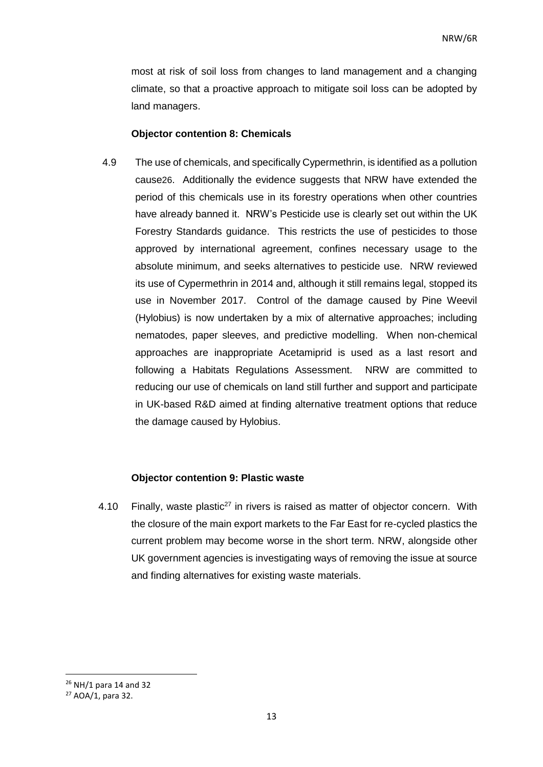most at risk of soil loss from changes to land management and a changing climate, so that a proactive approach to mitigate soil loss can be adopted by land managers.

#### **Objector contention 8: Chemicals**

4.9 The use of chemicals, and specifically Cypermethrin, is identified as a pollution cause26. Additionally the evidence suggests that NRW have extended the period of this chemicals use in its forestry operations when other countries have already banned it. NRW's Pesticide use is clearly set out within the UK Forestry Standards guidance. This restricts the use of pesticides to those approved by international agreement, confines necessary usage to the absolute minimum, and seeks alternatives to pesticide use. NRW reviewed its use of Cypermethrin in 2014 and, although it still remains legal, stopped its use in November 2017. Control of the damage caused by Pine Weevil (Hylobius) is now undertaken by a mix of alternative approaches; including nematodes, paper sleeves, and predictive modelling. When non-chemical approaches are inappropriate Acetamiprid is used as a last resort and following a Habitats Regulations Assessment. NRW are committed to reducing our use of chemicals on land still further and support and participate in UK-based R&D aimed at finding alternative treatment options that reduce the damage caused by Hylobius.

#### **Objector contention 9: Plastic waste**

4.10 Finally, waste plastic<sup>27</sup> in rivers is raised as matter of objector concern. With the closure of the main export markets to the Far East for re-cycled plastics the current problem may become worse in the short term. NRW, alongside other UK government agencies is investigating ways of removing the issue at source and finding alternatives for existing waste materials.

<sup>26</sup> NH/1 para 14 and 32

<sup>27</sup> AOA/1, para 32.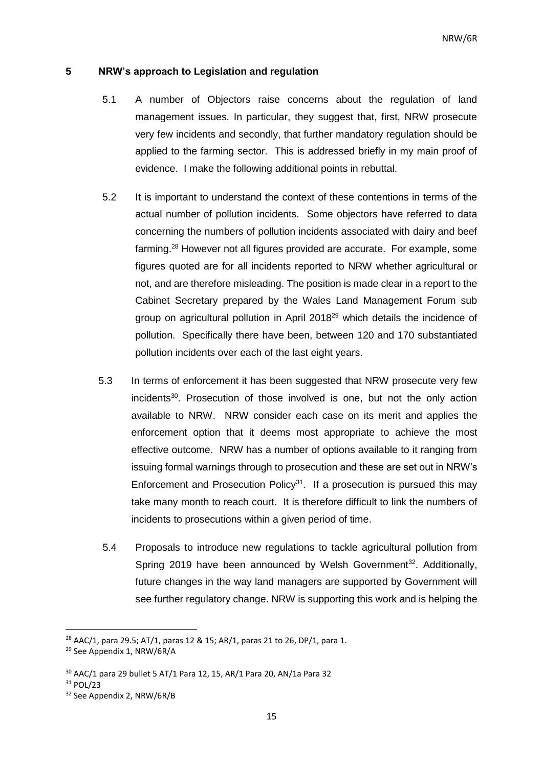#### **5 NRW's approach to Legislation and regulation**

- 5.1 A number of Objectors raise concerns about the regulation of land management issues. In particular, they suggest that, first, NRW prosecute very few incidents and secondly, that further mandatory regulation should be applied to the farming sector. This is addressed briefly in my main proof of evidence. I make the following additional points in rebuttal.
- 5.2 It is important to understand the context of these contentions in terms of the actual number of pollution incidents. Some objectors have referred to data concerning the numbers of pollution incidents associated with dairy and beef farming.<sup>28</sup> However not all figures provided are accurate. For example, some figures quoted are for all incidents reported to NRW whether agricultural or not, and are therefore misleading. The position is made clear in a report to the Cabinet Secretary prepared by the Wales Land Management Forum sub group on agricultural pollution in April 2018<sup>29</sup> which details the incidence of pollution. Specifically there have been, between 120 and 170 substantiated pollution incidents over each of the last eight years.
- 5.3 In terms of enforcement it has been suggested that NRW prosecute very few incidents<sup>30</sup>. Prosecution of those involved is one, but not the only action available to NRW. NRW consider each case on its merit and applies the enforcement option that it deems most appropriate to achieve the most effective outcome. NRW has a number of options available to it ranging from issuing formal warnings through to prosecution and these are set out in NRW's Enforcement and Prosecution Policy<sup>31</sup>. If a prosecution is pursued this may take many month to reach court. It is therefore difficult to link the numbers of incidents to prosecutions within a given period of time.
- 5.4 Proposals to introduce new regulations to tackle agricultural pollution from Spring 2019 have been announced by Welsh Government<sup>32</sup>, Additionally, future changes in the way land managers are supported by Government will see further regulatory change. NRW is supporting this work and is helping the

<sup>&</sup>lt;sup>28</sup> AAC/1, para 29.5; AT/1, paras 12 & 15; AR/1, paras 21 to 26, DP/1, para 1.

<sup>29</sup> See Appendix 1, NRW/6R/A

<sup>30</sup> AAC/1 para 29 bullet 5 AT/1 Para 12, 15, AR/1 Para 20, AN/1a Para 32

 $31$  POL/23

<sup>32</sup> See Appendix 2, NRW/6R/B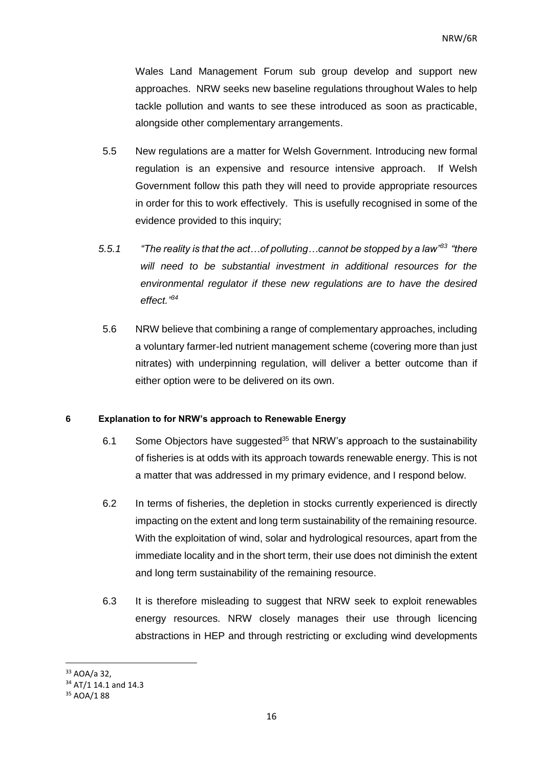Wales Land Management Forum sub group develop and support new approaches. NRW seeks new baseline regulations throughout Wales to help tackle pollution and wants to see these introduced as soon as practicable, alongside other complementary arrangements.

- 5.5 New regulations are a matter for Welsh Government. Introducing new formal regulation is an expensive and resource intensive approach. If Welsh Government follow this path they will need to provide appropriate resources in order for this to work effectively. This is usefully recognised in some of the evidence provided to this inquiry;
- *5.5.1 "The reality is that the act…of polluting…cannot be stopped by a law"<sup>33</sup> "there will need to be substantial investment in additional resources for the environmental regulator if these new regulations are to have the desired effect." 34*
- 5.6 NRW believe that combining a range of complementary approaches, including a voluntary farmer-led nutrient management scheme (covering more than just nitrates) with underpinning regulation, will deliver a better outcome than if either option were to be delivered on its own.

#### **6 Explanation to for NRW's approach to Renewable Energy**

- 6.1 Some Objectors have suggested<sup>35</sup> that NRW's approach to the sustainability of fisheries is at odds with its approach towards renewable energy. This is not a matter that was addressed in my primary evidence, and I respond below.
- 6.2 In terms of fisheries, the depletion in stocks currently experienced is directly impacting on the extent and long term sustainability of the remaining resource. With the exploitation of wind, solar and hydrological resources, apart from the immediate locality and in the short term, their use does not diminish the extent and long term sustainability of the remaining resource.
- 6.3 It is therefore misleading to suggest that NRW seek to exploit renewables energy resources. NRW closely manages their use through licencing abstractions in HEP and through restricting or excluding wind developments

<sup>33</sup> AOA/a 32,

<sup>&</sup>lt;sup>34</sup> AT/1 14.1 and 14.3

<sup>35</sup> AOA/1 88